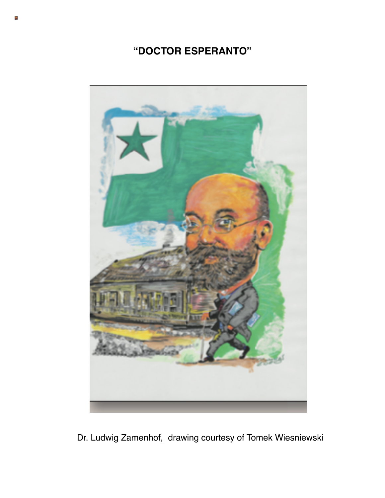## **"DOCTOR ESPERANTO"**



Dr. Ludwig Zamenhof, drawing courtesy of Tomek Wiesniewski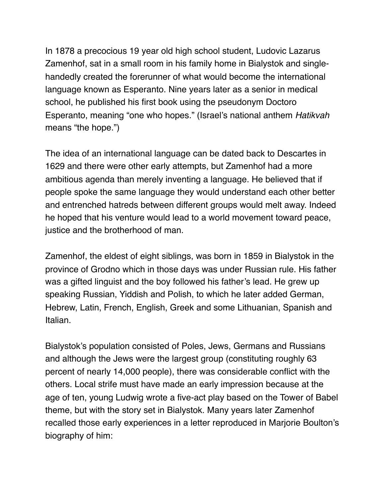In 1878 a precocious 19 year old high school student, Ludovic Lazarus Zamenhof, sat in a small room in his family home in Bialystok and singlehandedly created the forerunner of what would become the international language known as Esperanto. Nine years later as a senior in medical school, he published his first book using the pseudonym Doctoro Esperanto, meaning "one who hopes." (Israel's national anthem *Hatikvah* means "the hope.")

The idea of an international language can be dated back to Descartes in 1629 and there were other early attempts, but Zamenhof had a more ambitious agenda than merely inventing a language. He believed that if people spoke the same language they would understand each other better and entrenched hatreds between different groups would melt away. Indeed he hoped that his venture would lead to a world movement toward peace, justice and the brotherhood of man.

Zamenhof, the eldest of eight siblings, was born in 1859 in Bialystok in the province of Grodno which in those days was under Russian rule. His father was a gifted linguist and the boy followed his father's lead. He grew up speaking Russian, Yiddish and Polish, to which he later added German, Hebrew, Latin, French, English, Greek and some Lithuanian, Spanish and Italian.

Bialystok's population consisted of Poles, Jews, Germans and Russians and although the Jews were the largest group (constituting roughly 63 percent of nearly 14,000 people), there was considerable conflict with the others. Local strife must have made an early impression because at the age of ten, young Ludwig wrote a five-act play based on the Tower of Babel theme, but with the story set in Bialystok. Many years later Zamenhof recalled those early experiences in a letter reproduced in Marjorie Boulton's biography of him: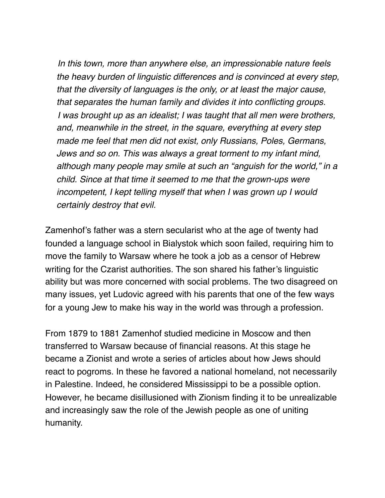*In this town, more than anywhere else, an impressionable nature feels the heavy burden of linguistic differences and is convinced at every step, that the diversity of languages is the only, or at least the major cause, that separates the human family and divides it into conflicting groups. I was brought up as an idealist; I was taught that all men were brothers, and, meanwhile in the street, in the square, everything at every step made me feel that men did not exist, only Russians, Poles, Germans, Jews and so on. This was always a great torment to my infant mind, although many people may smile at such an "anguish for the world," in a child. Since at that time it seemed to me that the grown-ups were incompetent, I kept telling myself that when I was grown up I would certainly destroy that evil.*

Zamenhof's father was a stern secularist who at the age of twenty had founded a language school in Bialystok which soon failed, requiring him to move the family to Warsaw where he took a job as a censor of Hebrew writing for the Czarist authorities. The son shared his father's linguistic ability but was more concerned with social problems. The two disagreed on many issues, yet Ludovic agreed with his parents that one of the few ways for a young Jew to make his way in the world was through a profession.

From 1879 to 1881 Zamenhof studied medicine in Moscow and then transferred to Warsaw because of financial reasons. At this stage he became a Zionist and wrote a series of articles about how Jews should react to pogroms. In these he favored a national homeland, not necessarily in Palestine. Indeed, he considered Mississippi to be a possible option. However, he became disillusioned with Zionism finding it to be unrealizable and increasingly saw the role of the Jewish people as one of uniting humanity.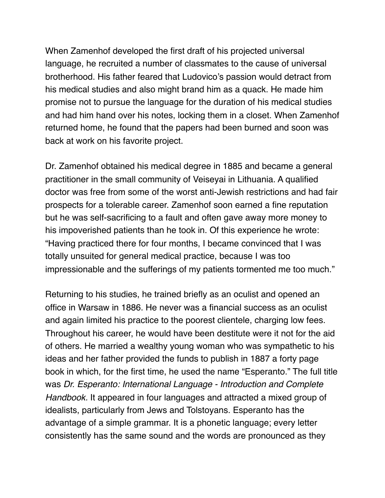When Zamenhof developed the first draft of his projected universal language, he recruited a number of classmates to the cause of universal brotherhood. His father feared that Ludovico's passion would detract from his medical studies and also might brand him as a quack. He made him promise not to pursue the language for the duration of his medical studies and had him hand over his notes, locking them in a closet. When Zamenhof returned home, he found that the papers had been burned and soon was back at work on his favorite project.

Dr. Zamenhof obtained his medical degree in 1885 and became a general practitioner in the small community of Veiseyai in Lithuania. A qualified doctor was free from some of the worst anti-Jewish restrictions and had fair prospects for a tolerable career. Zamenhof soon earned a fine reputation but he was self-sacrificing to a fault and often gave away more money to his impoverished patients than he took in. Of this experience he wrote: "Having practiced there for four months, I became convinced that I was totally unsuited for general medical practice, because I was too impressionable and the sufferings of my patients tormented me too much."

Returning to his studies, he trained briefly as an oculist and opened an office in Warsaw in 1886. He never was a financial success as an oculist and again limited his practice to the poorest clientele, charging low fees. Throughout his career, he would have been destitute were it not for the aid of others. He married a wealthy young woman who was sympathetic to his ideas and her father provided the funds to publish in 1887 a forty page book in which, for the first time, he used the name "Esperanto." The full title was *Dr. Esperanto: International Language - Introduction and Complete Handbook.* It appeared in four languages and attracted a mixed group of idealists, particularly from Jews and Tolstoyans. Esperanto has the advantage of a simple grammar. It is a phonetic language; every letter consistently has the same sound and the words are pronounced as they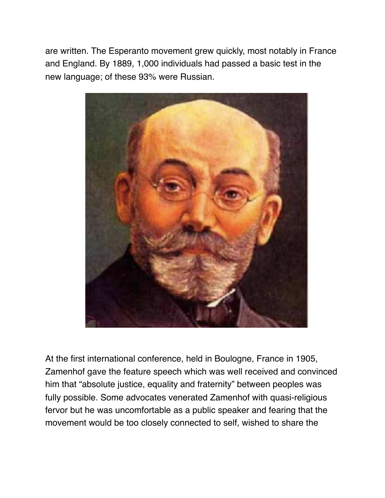are written. The Esperanto movement grew quickly, most notably in France and England. By 1889, 1,000 individuals had passed a basic test in the new language; of these 93% were Russian.



At the first international conference, held in Boulogne, France in 1905, Zamenhof gave the feature speech which was well received and convinced him that "absolute justice, equality and fraternity" between peoples was fully possible. Some advocates venerated Zamenhof with quasi-religious fervor but he was uncomfortable as a public speaker and fearing that the movement would be too closely connected to self, wished to share the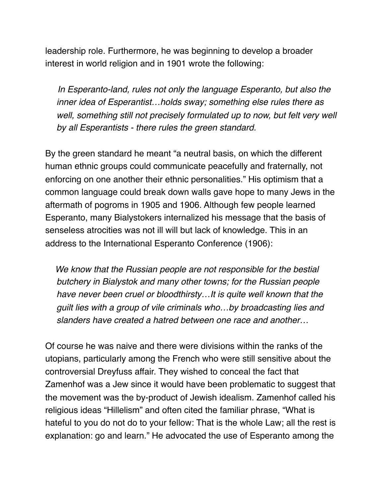leadership role. Furthermore, he was beginning to develop a broader interest in world religion and in 1901 wrote the following:

 *In Esperanto-land, rules not only the language Esperanto, but also the inner idea of Esperantist…holds sway; something else rules there as well, something still not precisely formulated up to now, but felt very well by all Esperantists - there rules the green standard.*

By the green standard he meant "a neutral basis, on which the different human ethnic groups could communicate peacefully and fraternally, not enforcing on one another their ethnic personalities." His optimism that a common language could break down walls gave hope to many Jews in the aftermath of pogroms in 1905 and 1906. Although few people learned Esperanto, many Bialystokers internalized his message that the basis of senseless atrocities was not ill will but lack of knowledge. This in an address to the International Esperanto Conference (1906):

 *We know that the Russian people are not responsible for the bestial butchery in Bialystok and many other towns; for the Russian people have never been cruel or bloodthirsty…It is quite well known that the guilt lies with a group of vile criminals who…by broadcasting lies and slanders have created a hatred between one race and another…*

Of course he was naive and there were divisions within the ranks of the utopians, particularly among the French who were still sensitive about the controversial Dreyfuss affair. They wished to conceal the fact that Zamenhof was a Jew since it would have been problematic to suggest that the movement was the by-product of Jewish idealism. Zamenhof called his religious ideas "Hillelism" and often cited the familiar phrase, "What is hateful to you do not do to your fellow: That is the whole Law; all the rest is explanation: go and learn." He advocated the use of Esperanto among the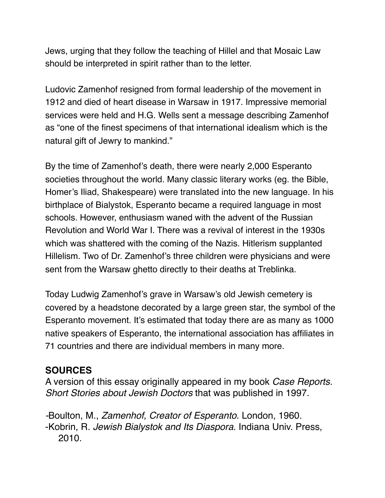Jews, urging that they follow the teaching of Hillel and that Mosaic Law should be interpreted in spirit rather than to the letter.

Ludovic Zamenhof resigned from formal leadership of the movement in 1912 and died of heart disease in Warsaw in 1917. Impressive memorial services were held and H.G. Wells sent a message describing Zamenhof as "one of the finest specimens of that international idealism which is the natural gift of Jewry to mankind."

By the time of Zamenhof's death, there were nearly 2,000 Esperanto societies throughout the world. Many classic literary works (eg. the Bible, Homer's Iliad, Shakespeare) were translated into the new language. In his birthplace of Bialystok, Esperanto became a required language in most schools. However, enthusiasm waned with the advent of the Russian Revolution and World War I. There was a revival of interest in the 1930s which was shattered with the coming of the Nazis. Hitlerism supplanted Hillelism. Two of Dr. Zamenhof's three children were physicians and were sent from the Warsaw ghetto directly to their deaths at Treblinka.

Today Ludwig Zamenhof's grave in Warsaw's old Jewish cemetery is covered by a headstone decorated by a large green star, the symbol of the Esperanto movement. It's estimated that today there are as many as 1000 native speakers of Esperanto, the international association has affiliates in 71 countries and there are individual members in many more.

## **SOURCES**

A version of this essay originally appeared in my book *Case Reports. Short Stories about Jewish Doctors* that was published in 1997.

*-*Boulton, M., *Zamenhof, Creator of Esperanto*. London, 1960. -Kobrin, R. *Jewish Bialystok and Its Diaspora*. Indiana Univ. Press, 2010.